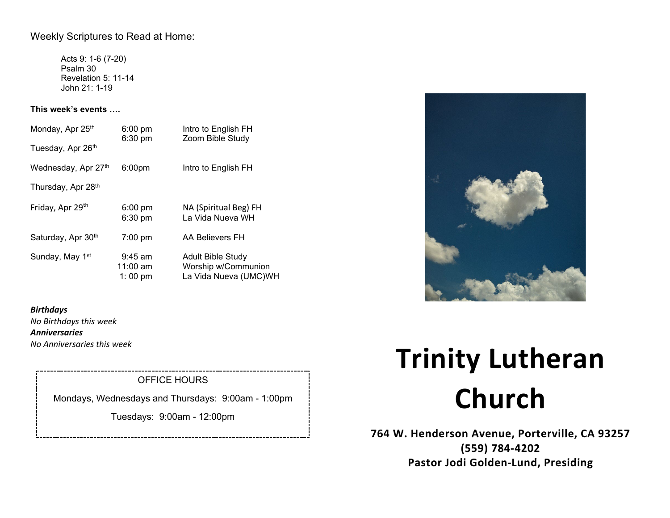## Weekly Scriptures to Read at Home:

Acts 9: 1-6 (7-20) Psalm 30 Revelation 5: 11-14 John 21: 1-19

## **This week's events ….**

| Monday, Apr 25th            | $6:00$ pm<br>6:30 pm               | Intro to English FH<br>Zoom Bible Study                                  |
|-----------------------------|------------------------------------|--------------------------------------------------------------------------|
| Tuesday, Apr 26th           |                                    |                                                                          |
| Wednesday, Apr 27th         | 6:00 <sub>pm</sub>                 | Intro to English FH                                                      |
| Thursday, Apr 28th          |                                    |                                                                          |
| Friday, Apr 29th            | $6:00 \text{ pm}$<br>6:30 pm       | NA (Spiritual Beg) FH<br>La Vida Nueva WH                                |
| Saturday, Apr 30th          | $7:00 \text{ pm}$                  | AA Believers FH                                                          |
| Sunday, May 1 <sup>st</sup> | $9:45$ am<br>$11:00$ am<br>1:00 pm | <b>Adult Bible Study</b><br>Worship w/Communion<br>La Vida Nueva (UMC)WH |

*Birthdays No Birthdays this week Anniversaries No Anniversaries this week*

# OFFICE HOURS

Mondays, Wednesdays and Thursdays: 9:00am - 1:00pm

Tuesdays: 9:00am - 12:00pm



# **Trinity Lutheran Church**

**764 W. Henderson Avenue, Porterville, CA 93257 (559) 784-4202 Pastor Jodi Golden-Lund, Presiding**